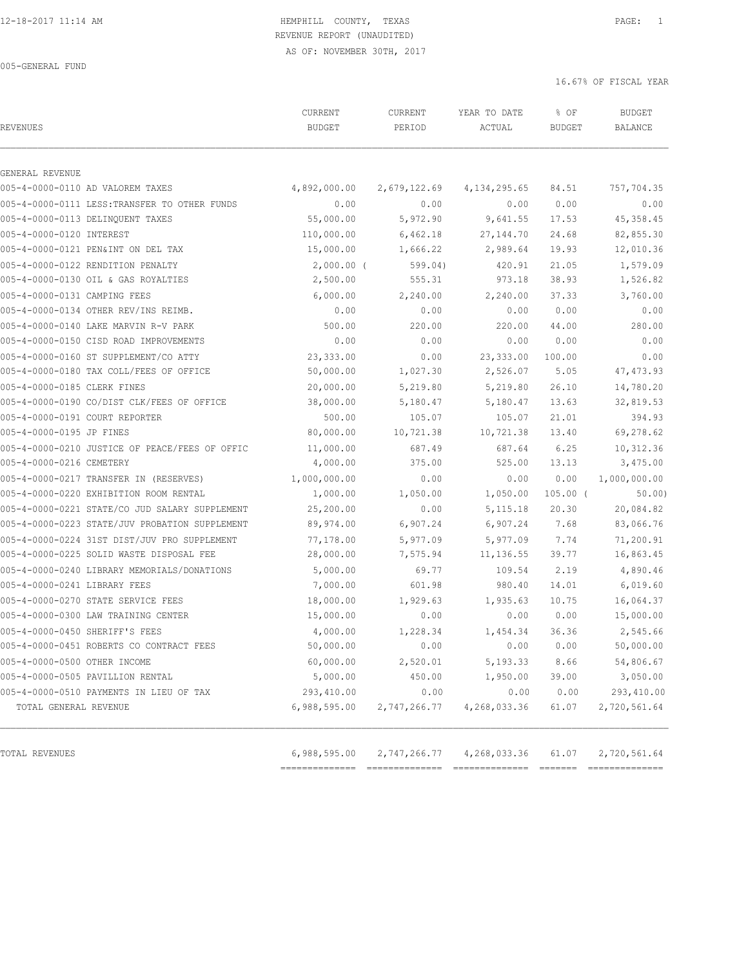# 12-18-2017 11:14 AM HEMPHILL COUNTY, TEXAS PAGE: 1 REVENUE REPORT (UNAUDITED)

| <b>REVENUES</b>                                | CURRENT<br><b>BUDGET</b> | CURRENT<br>PERIOD | YEAR TO DATE<br>ACTUAL | % OF<br><b>BUDGET</b> | <b>BUDGET</b><br><b>BALANCE</b> |
|------------------------------------------------|--------------------------|-------------------|------------------------|-----------------------|---------------------------------|
| GENERAL REVENUE                                |                          |                   |                        |                       |                                 |
| 005-4-0000-0110 AD VALOREM TAXES               | 4,892,000.00             | 2,679,122.69      | 4, 134, 295.65         | 84.51                 | 757,704.35                      |
| 005-4-0000-0111 LESS: TRANSFER TO OTHER FUNDS  | 0.00                     | 0.00              | 0.00                   | 0.00                  | 0.00                            |
| 005-4-0000-0113 DELINQUENT TAXES               | 55,000.00                | 5,972.90          | 9,641.55               | 17.53                 | 45, 358.45                      |
| 005-4-0000-0120 INTEREST                       | 110,000.00               | 6,462.18          | 27, 144.70             | 24.68                 | 82,855.30                       |
| 005-4-0000-0121 PEN&INT ON DEL TAX             | 15,000.00                | 1,666.22          | 2,989.64               | 19.93                 | 12,010.36                       |
| 005-4-0000-0122 RENDITION PENALTY              | $2,000.00$ (             | 599.04)           | 420.91                 | 21.05                 | 1,579.09                        |
| 005-4-0000-0130 OIL & GAS ROYALTIES            | 2,500.00                 | 555.31            | 973.18                 | 38.93                 | 1,526.82                        |
| 005-4-0000-0131 CAMPING FEES                   | 6,000.00                 | 2,240.00          | 2,240.00               | 37.33                 | 3,760.00                        |
| 005-4-0000-0134 OTHER REV/INS REIMB.           | 0.00                     | 0.00              | 0.00                   | 0.00                  | 0.00                            |
| 005-4-0000-0140 LAKE MARVIN R-V PARK           | 500.00                   | 220.00            | 220.00                 | 44.00                 | 280.00                          |
| 005-4-0000-0150 CISD ROAD IMPROVEMENTS         | 0.00                     | 0.00              | 0.00                   | 0.00                  | 0.00                            |
| 005-4-0000-0160 ST SUPPLEMENT/CO ATTY          | 23,333.00                | 0.00              | 23, 333.00             | 100.00                | 0.00                            |
| 005-4-0000-0180 TAX COLL/FEES OF OFFICE        | 50,000.00                | 1,027.30          | 2,526.07               | 5.05                  | 47, 473.93                      |
| 005-4-0000-0185 CLERK FINES                    | 20,000.00                | 5,219.80          | 5,219.80               | 26.10                 | 14,780.20                       |
| 005-4-0000-0190 CO/DIST CLK/FEES OF OFFICE     | 38,000.00                | 5,180.47          | 5,180.47               | 13.63                 | 32,819.53                       |
| 005-4-0000-0191 COURT REPORTER                 | 500.00                   | 105.07            | 105.07                 | 21.01                 | 394.93                          |
| 005-4-0000-0195 JP FINES                       | 80,000.00                | 10,721.38         | 10,721.38              | 13.40                 | 69,278.62                       |
| 005-4-0000-0210 JUSTICE OF PEACE/FEES OF OFFIC | 11,000.00                | 687.49            | 687.64                 | 6.25                  | 10,312.36                       |
| 005-4-0000-0216 CEMETERY                       | 4,000.00                 | 375.00            | 525.00                 | 13.13                 | 3,475.00                        |
| 005-4-0000-0217 TRANSFER IN (RESERVES)         | 1,000,000.00             | 0.00              | 0.00                   | 0.00                  | 1,000,000.00                    |
| 005-4-0000-0220 EXHIBITION ROOM RENTAL         | 1,000.00                 | 1,050.00          | 1,050.00               | $105.00$ (            | 50.00                           |
| 005-4-0000-0221 STATE/CO JUD SALARY SUPPLEMENT | 25,200.00                | 0.00              | 5, 115.18              | 20.30                 | 20,084.82                       |
| 005-4-0000-0223 STATE/JUV PROBATION SUPPLEMENT | 89,974.00                | 6,907.24          | 6,907.24               | 7.68                  | 83,066.76                       |
| 005-4-0000-0224 31ST DIST/JUV PRO SUPPLEMENT   | 77,178.00                | 5,977.09          | 5,977.09               | 7.74                  | 71,200.91                       |
| 005-4-0000-0225 SOLID WASTE DISPOSAL FEE       | 28,000.00                | 7,575.94          | 11, 136.55             | 39.77                 | 16,863.45                       |
| 005-4-0000-0240 LIBRARY MEMORIALS/DONATIONS    | 5,000.00                 | 69.77             | 109.54                 | 2.19                  | 4,890.46                        |
| 005-4-0000-0241 LIBRARY FEES                   | 7,000.00                 | 601.98            | 980.40                 | 14.01                 | 6,019.60                        |
| 005-4-0000-0270 STATE SERVICE FEES             | 18,000.00                | 1,929.63          | 1,935.63               | 10.75                 | 16,064.37                       |
| 005-4-0000-0300 LAW TRAINING CENTER            | 15,000.00                | 0.00              | 0.00                   | 0.00                  | 15,000.00                       |
| 005-4-0000-0450 SHERIFF'S FEES                 | 4,000.00                 | 1,228.34          | 1,454.34               | 36.36                 | 2,545.66                        |
| 005-4-0000-0451 ROBERTS CO CONTRACT FEES       | 50,000.00                | 0.00              | 0.00                   | 0.00                  | 50,000.00                       |
| 005-4-0000-0500 OTHER INCOME                   | 60,000.00                | 2,520.01          | 5, 193.33              | 8.66                  | 54,806.67                       |
| 005-4-0000-0505 PAVILLION RENTAL               | 5,000.00                 | 450.00            | 1,950.00               | 39.00                 | 3,050.00                        |
| 005-4-0000-0510 PAYMENTS IN LIEU OF TAX        | 293,410.00               | 0.00              | 0.00                   | 0.00                  | 293,410.00                      |
| TOTAL GENERAL REVENUE                          | 6,988,595.00             | 2,747,266.77      | 4,268,033.36           | 61.07                 | 2,720,561.64                    |
| TOTAL REVENUES                                 | 6,988,595.00             | 2,747,266.77      | 4,268,033.36           | 61.07                 | 2,720,561.64                    |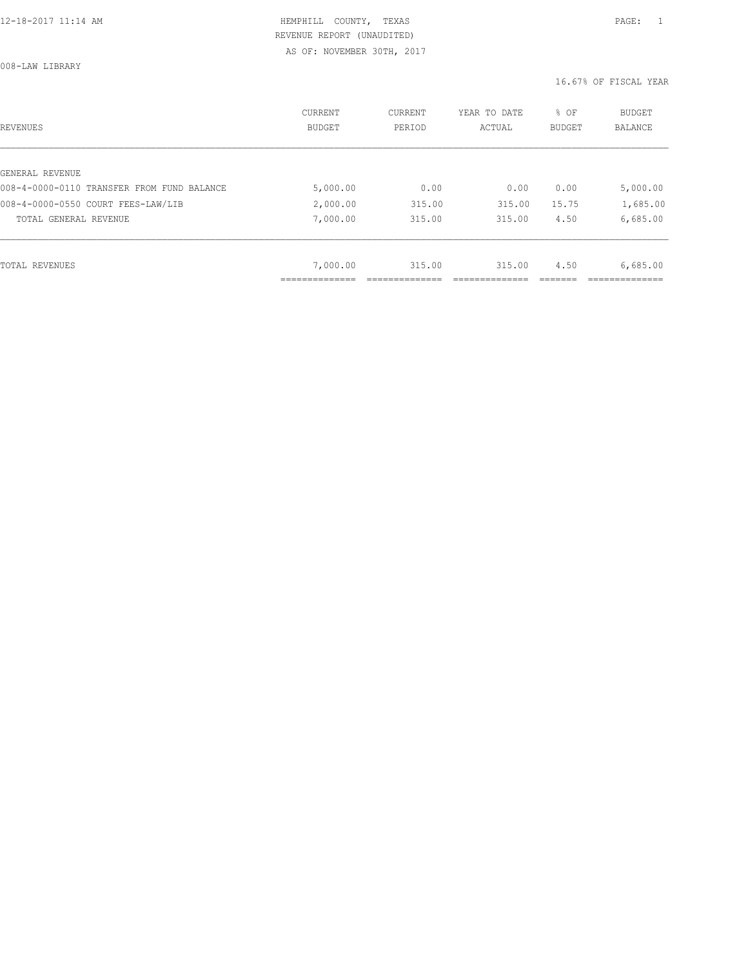008-LAW LIBRARY

| REVENUES                                   | CURRENT<br>BUDGET | CURRENT<br>PERIOD | YEAR TO DATE<br>ACTUAL | % OF<br>BUDGET | BUDGET<br>BALANCE |
|--------------------------------------------|-------------------|-------------------|------------------------|----------------|-------------------|
|                                            |                   |                   |                        |                |                   |
| GENERAL REVENUE                            |                   |                   |                        |                |                   |
| 008-4-0000-0110 TRANSFER FROM FUND BALANCE | 5,000.00          | 0.00              | 0.00                   | 0.00           | 5,000.00          |
| 008-4-0000-0550 COURT FEES-LAW/LIB         | 2,000.00          | 315.00            | 315.00                 | 15.75          | 1,685.00          |
| TOTAL GENERAL REVENUE                      | 7,000.00          | 315.00            | 315.00                 | 4.50           | 6,685.00          |
|                                            |                   |                   |                        |                |                   |
| TOTAL REVENUES                             | 7,000.00          | 315.00            | 315.00                 | 4.50           | 6,685.00          |
|                                            | ___________       |                   |                        |                |                   |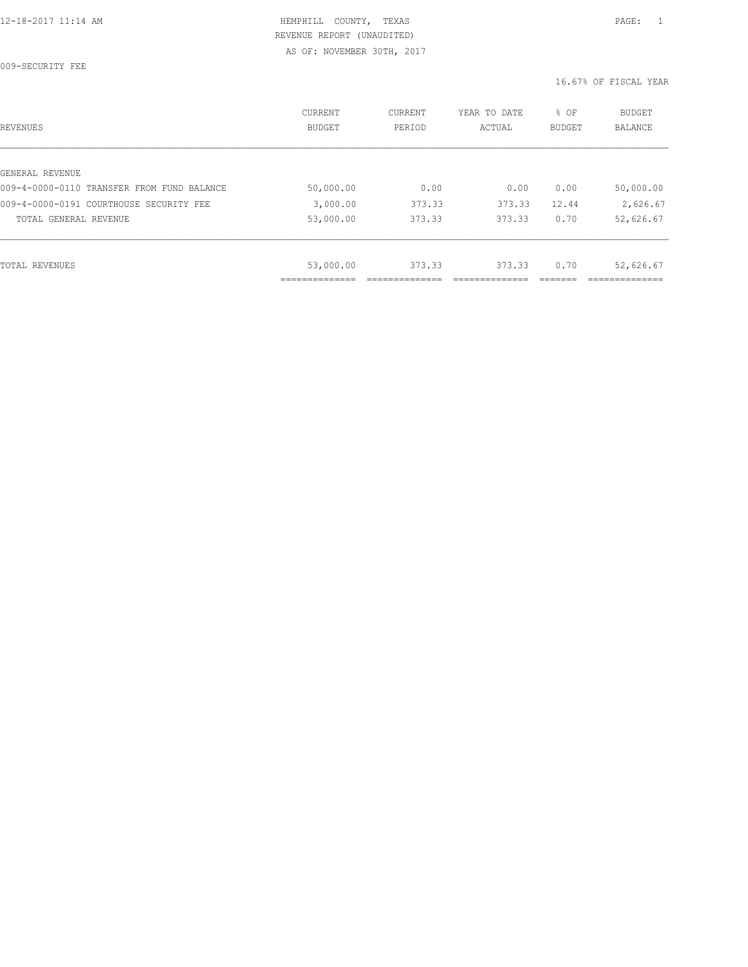009-SECURITY FEE

| REVENUES                                   | CURRENT<br><b>BUDGET</b> | CURRENT<br>PERIOD | YEAR TO DATE<br>ACTUAL | % OF<br>BUDGET | BUDGET<br><b>BALANCE</b> |
|--------------------------------------------|--------------------------|-------------------|------------------------|----------------|--------------------------|
|                                            |                          |                   |                        |                |                          |
| GENERAL REVENUE                            |                          |                   |                        |                |                          |
| 009-4-0000-0110 TRANSFER FROM FUND BALANCE | 50,000.00                | 0.00              | 0.00                   | 0.00           | 50,000.00                |
| 009-4-0000-0191 COURTHOUSE SECURITY FEE    | 3,000.00                 | 373.33            | 373.33                 | 12.44          | 2,626.67                 |
| TOTAL GENERAL REVENUE                      | 53,000.00                | 373.33            | 373.33                 | 0.70           | 52,626.67                |
|                                            |                          |                   |                        |                |                          |
| TOTAL REVENUES                             | 53,000.00                | 373.33            | 373.33                 | 0.70           | 52,626.67                |
|                                            |                          |                   |                        |                |                          |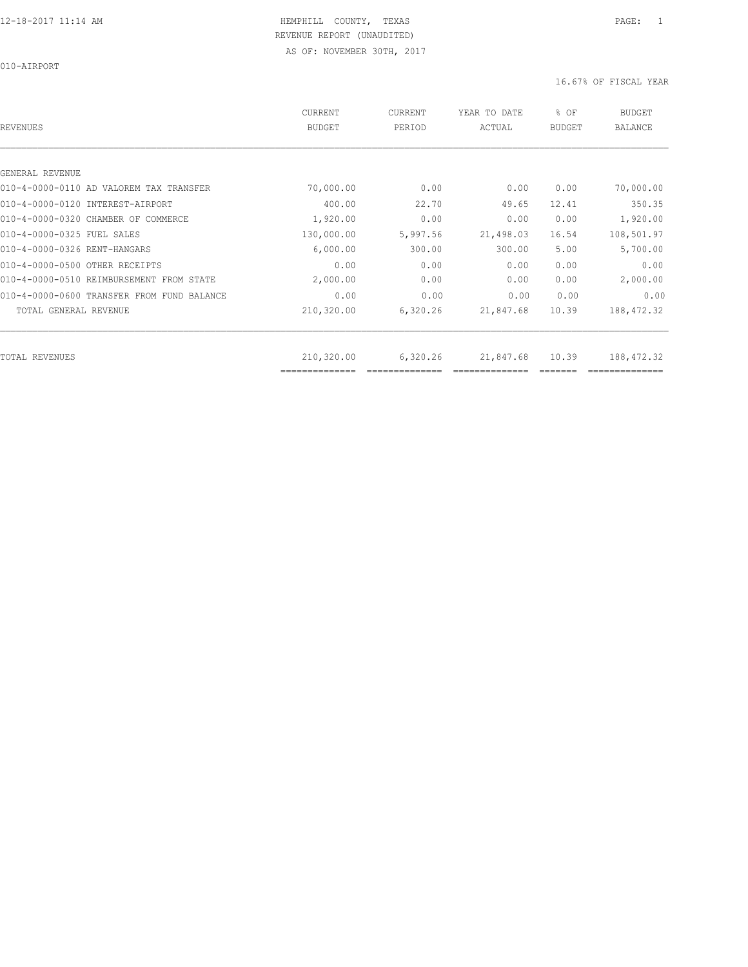010-AIRPORT

| REVENUES                                   | <b>CURRENT</b><br><b>BUDGET</b> | CURRENT<br>PERIOD | YEAR TO DATE<br>ACTUAL | % OF<br><b>BUDGET</b> | <b>BUDGET</b><br><b>BALANCE</b> |
|--------------------------------------------|---------------------------------|-------------------|------------------------|-----------------------|---------------------------------|
|                                            |                                 |                   |                        |                       |                                 |
| GENERAL REVENUE                            |                                 |                   |                        |                       |                                 |
| 010-4-0000-0110 AD VALOREM TAX TRANSFER    | 70,000.00                       | 0.00              | 0.00                   | 0.00                  | 70,000.00                       |
| 010-4-0000-0120 INTEREST-AIRPORT           | 400.00                          | 22.70             | 49.65                  | 12.41                 | 350.35                          |
| 010-4-0000-0320 CHAMBER OF COMMERCE        | 1,920.00                        | 0.00              | 0.00                   | 0.00                  | 1,920.00                        |
| 010-4-0000-0325 FUEL SALES                 | 130,000.00                      | 5,997.56          | 21,498.03              | 16.54                 | 108,501.97                      |
| 010-4-0000-0326 RENT-HANGARS               | 6,000.00                        | 300.00            | 300.00                 | 5.00                  | 5,700.00                        |
| 010-4-0000-0500 OTHER RECEIPTS             | 0.00                            | 0.00              | 0.00                   | 0.00                  | 0.00                            |
| 010-4-0000-0510 REIMBURSEMENT FROM STATE   | 2,000.00                        | 0.00              | 0.00                   | 0.00                  | 2,000.00                        |
| 010-4-0000-0600 TRANSFER FROM FUND BALANCE | 0.00                            | 0.00              | 0.00                   | 0.00                  | 0.00                            |
| TOTAL GENERAL REVENUE                      | 210,320.00                      | 6,320.26          | 21,847.68              | 10.39                 | 188, 472.32                     |
|                                            |                                 |                   |                        |                       |                                 |
| TOTAL REVENUES                             | 210,320.00<br>==============    | 6,320.26          | 21,847.68              | 10.39                 | 188,472.32                      |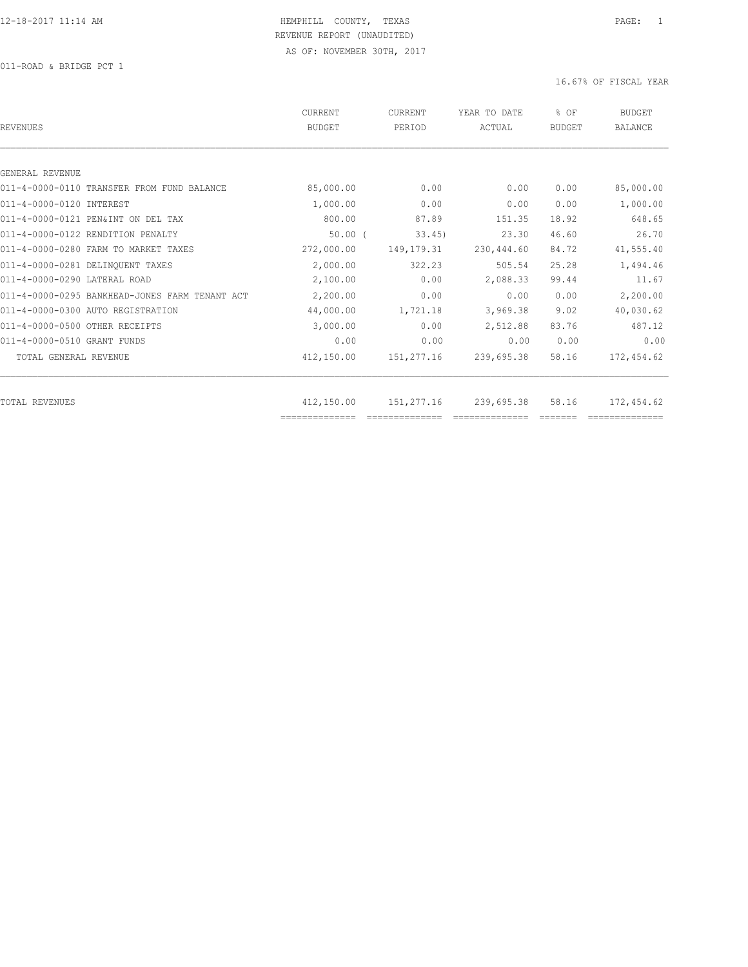011-ROAD & BRIDGE PCT 1

| REVENUES                                       | CURRENT<br><b>BUDGET</b> | CURRENT<br>PERIOD | YEAR TO DATE<br>ACTUAL | % OF<br>BUDGET | <b>BUDGET</b><br><b>BALANCE</b> |
|------------------------------------------------|--------------------------|-------------------|------------------------|----------------|---------------------------------|
|                                                |                          |                   |                        |                |                                 |
| GENERAL REVENUE                                |                          |                   |                        |                |                                 |
| 011-4-0000-0110 TRANSFER FROM FUND BALANCE     | 85,000.00                | 0.00              | 0.00                   | 0.00           | 85,000.00                       |
| 011-4-0000-0120 INTEREST                       | 1,000.00                 | 0.00              | 0.00                   | 0.00           | 1,000.00                        |
| 011-4-0000-0121 PEN&INT ON DEL TAX             | 800.00                   | 87.89             | 151.35                 | 18.92          | 648.65                          |
| 011-4-0000-0122 RENDITION PENALTY              | $50.00$ $($              | 33.45             | 23.30                  | 46.60          | 26.70                           |
| 011-4-0000-0280 FARM TO MARKET TAXES           | 272,000.00               | 149, 179. 31      | 230,444.60             | 84.72          | 41,555.40                       |
| 011-4-0000-0281 DELINOUENT TAXES               | 2,000.00                 | 322.23            | 505.54                 | 25.28          | 1,494.46                        |
| 011-4-0000-0290 LATERAL ROAD                   | 2,100.00                 | 0.00              | 2,088.33               | 99.44          | 11.67                           |
| 011-4-0000-0295 BANKHEAD-JONES FARM TENANT ACT | 2,200.00                 | 0.00              | 0.00                   | 0.00           | 2,200.00                        |
| 011-4-0000-0300 AUTO REGISTRATION              | 44,000.00                | 1,721.18          | 3,969.38               | 9.02           | 40,030.62                       |
| 011-4-0000-0500 OTHER RECEIPTS                 | 3,000.00                 | 0.00              | 2,512.88               | 83.76          | 487.12                          |
| 011-4-0000-0510 GRANT FUNDS                    | 0.00                     | 0.00              | 0.00                   | 0.00           | 0.00                            |
| TOTAL GENERAL REVENUE                          | 412,150.00               | 151,277.16        | 239,695.38             | 58.16          | 172,454.62                      |
|                                                |                          |                   |                        |                |                                 |
| TOTAL REVENUES                                 | 412,150.00               | 151,277.16        | 239,695.38             | 58.16          | 172,454.62                      |
|                                                | ==============           |                   |                        |                |                                 |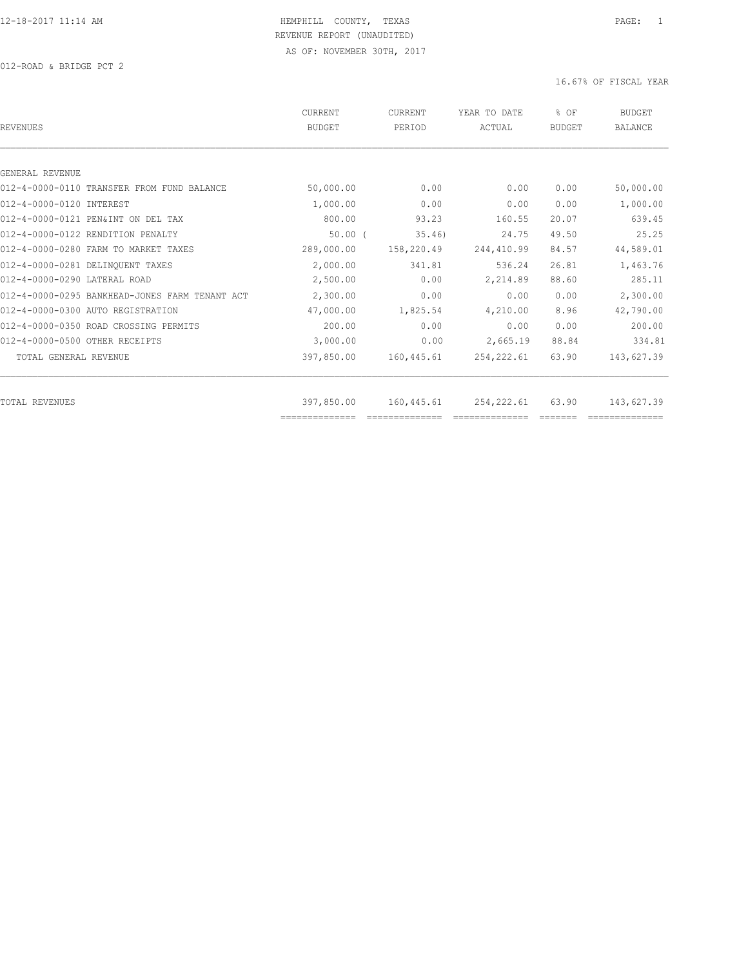012-ROAD & BRIDGE PCT 2

| REVENUES                                       | CURRENT<br><b>BUDGET</b> | <b>CURRENT</b><br>PERIOD | YEAR TO DATE<br>ACTUAL | % OF<br>BUDGET | <b>BUDGET</b><br><b>BALANCE</b> |
|------------------------------------------------|--------------------------|--------------------------|------------------------|----------------|---------------------------------|
|                                                |                          |                          |                        |                |                                 |
| GENERAL REVENUE                                |                          |                          |                        |                |                                 |
| 012-4-0000-0110 TRANSFER FROM FUND BALANCE     | 50,000.00                | 0.00                     | 0.00                   | 0.00           | 50,000.00                       |
| 012-4-0000-0120 INTEREST                       | 1,000.00                 | 0.00                     | 0.00                   | 0.00           | 1,000.00                        |
| 012-4-0000-0121 PEN&INT ON DEL TAX             | 800.00                   | 93.23                    | 160.55                 | 20.07          | 639.45                          |
| 012-4-0000-0122 RENDITION PENALTY              | $50.00$ $($              | 35.46                    | 24.75                  | 49.50          | 25.25                           |
| 012-4-0000-0280 FARM TO MARKET TAXES           | 289,000.00               | 158,220.49               | 244,410.99             | 84.57          | 44,589.01                       |
| 012-4-0000-0281 DELINQUENT TAXES               | 2,000.00                 | 341.81                   | 536.24                 | 26.81          | 1,463.76                        |
| 012-4-0000-0290 LATERAL ROAD                   | 2,500.00                 | 0.00                     | 2,214.89               | 88.60          | 285.11                          |
| 012-4-0000-0295 BANKHEAD-JONES FARM TENANT ACT | 2,300.00                 | 0.00                     | 0.00                   | 0.00           | 2,300.00                        |
| 012-4-0000-0300 AUTO REGISTRATION              | 47,000.00                | 1,825.54                 | 4,210.00               | 8.96           | 42,790.00                       |
| 012-4-0000-0350 ROAD CROSSING PERMITS          | 200.00                   | 0.00                     | 0.00                   | 0.00           | 200.00                          |
| 012-4-0000-0500 OTHER RECEIPTS                 | 3,000.00                 | 0.00                     | 2,665.19               | 88.84          | 334.81                          |
| TOTAL GENERAL REVENUE                          | 397,850.00               | 160,445.61               | 254, 222.61            | 63.90          | 143,627.39                      |
|                                                |                          |                          |                        |                |                                 |
| TOTAL REVENUES                                 | 397,850.00               | 160,445.61               | 254,222.61             | 63.90          | 143,627.39                      |
|                                                | ==============           |                          |                        |                |                                 |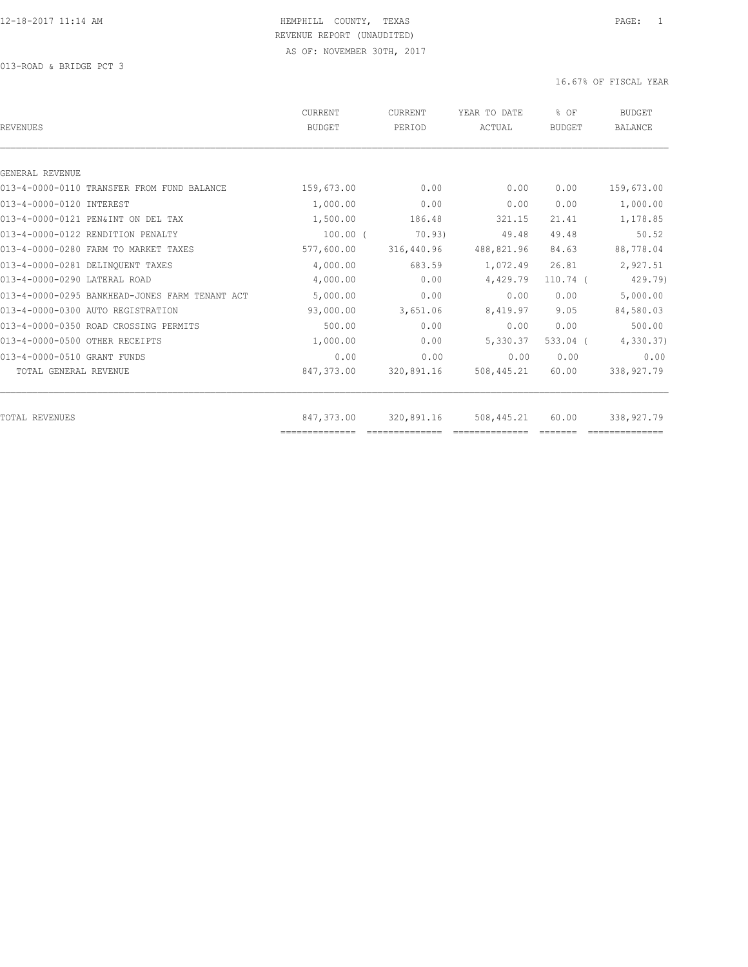013-ROAD & BRIDGE PCT 3

| REVENUES                                       | CURRENT<br><b>BUDGET</b> | CURRENT<br>PERIOD                                                                                                                                                                                                                                                                                                                                                                                                                                             | YEAR TO DATE<br>ACTUAL | % OF<br><b>BUDGET</b> | <b>BUDGET</b><br><b>BALANCE</b> |
|------------------------------------------------|--------------------------|---------------------------------------------------------------------------------------------------------------------------------------------------------------------------------------------------------------------------------------------------------------------------------------------------------------------------------------------------------------------------------------------------------------------------------------------------------------|------------------------|-----------------------|---------------------------------|
|                                                |                          |                                                                                                                                                                                                                                                                                                                                                                                                                                                               |                        |                       |                                 |
| GENERAL REVENUE                                |                          |                                                                                                                                                                                                                                                                                                                                                                                                                                                               |                        |                       |                                 |
| 013-4-0000-0110 TRANSFER FROM FUND BALANCE     | 159,673.00               | 0.00                                                                                                                                                                                                                                                                                                                                                                                                                                                          | 0.00                   | 0.00                  | 159,673.00                      |
| 013-4-0000-0120 INTEREST                       | 1,000.00                 | 0.00                                                                                                                                                                                                                                                                                                                                                                                                                                                          | 0.00                   | 0.00                  | 1,000.00                        |
| 013-4-0000-0121 PEN&INT ON DEL TAX             | 1,500.00                 | 186.48                                                                                                                                                                                                                                                                                                                                                                                                                                                        | 321.15                 | 21.41                 | 1,178.85                        |
| 013-4-0000-0122 RENDITION PENALTY              | $100.00$ (               | 70.93)                                                                                                                                                                                                                                                                                                                                                                                                                                                        | 49.48                  | 49.48                 | 50.52                           |
| 013-4-0000-0280 FARM TO MARKET TAXES           | 577,600.00               | 316,440.96                                                                                                                                                                                                                                                                                                                                                                                                                                                    | 488,821.96             | 84.63                 | 88,778.04                       |
| 013-4-0000-0281 DELINQUENT TAXES               | 4,000.00                 | 683.59                                                                                                                                                                                                                                                                                                                                                                                                                                                        | 1,072.49               | 26.81                 | 2,927.51                        |
| 013-4-0000-0290 LATERAL ROAD                   | 4,000.00                 | 0.00                                                                                                                                                                                                                                                                                                                                                                                                                                                          | 4,429.79               | $110.74$ (            | 429.79)                         |
| 013-4-0000-0295 BANKHEAD-JONES FARM TENANT ACT | 5,000.00                 | 0.00                                                                                                                                                                                                                                                                                                                                                                                                                                                          | 0.00                   | 0.00                  | 5,000.00                        |
| 013-4-0000-0300 AUTO REGISTRATION              | 93,000.00                | 3,651.06                                                                                                                                                                                                                                                                                                                                                                                                                                                      | 8,419.97               | 9.05                  | 84,580.03                       |
| 013-4-0000-0350 ROAD CROSSING PERMITS          | 500.00                   | 0.00                                                                                                                                                                                                                                                                                                                                                                                                                                                          | 0.00                   | 0.00                  | 500.00                          |
| 013-4-0000-0500 OTHER RECEIPTS                 | 1,000.00                 | 0.00                                                                                                                                                                                                                                                                                                                                                                                                                                                          | 5,330.37               | $533.04$ (            | 4,330.37                        |
| 013-4-0000-0510 GRANT FUNDS                    | 0.00                     | 0.00                                                                                                                                                                                                                                                                                                                                                                                                                                                          | 0.00                   | 0.00                  | 0.00                            |
| TOTAL GENERAL REVENUE                          | 847,373.00               | 320,891.16                                                                                                                                                                                                                                                                                                                                                                                                                                                    | 508,445.21             | 60.00                 | 338,927.79                      |
| TOTAL REVENUES                                 | 847,373.00               | 320,891.16                                                                                                                                                                                                                                                                                                                                                                                                                                                    | 508,445.21             | 60.00                 | 338,927.79                      |
|                                                | ==============           | $\begin{array}{c} \multicolumn{2}{c} {\textbf{2.5}} \multicolumn{2}{c} {\textbf{2.5}} \multicolumn{2}{c} {\textbf{2.5}} \multicolumn{2}{c} {\textbf{2.5}} \multicolumn{2}{c} {\textbf{2.5}} \multicolumn{2}{c} {\textbf{2.5}} \multicolumn{2}{c} {\textbf{2.5}} \multicolumn{2}{c} {\textbf{2.5}} \multicolumn{2}{c} {\textbf{2.5}} \multicolumn{2}{c} {\textbf{2.5}} \multicolumn{2}{c} {\textbf{2.5}} \multicolumn{2}{c} {\textbf{2.5}} \multicolumn{2}{c}$ | ==============         |                       |                                 |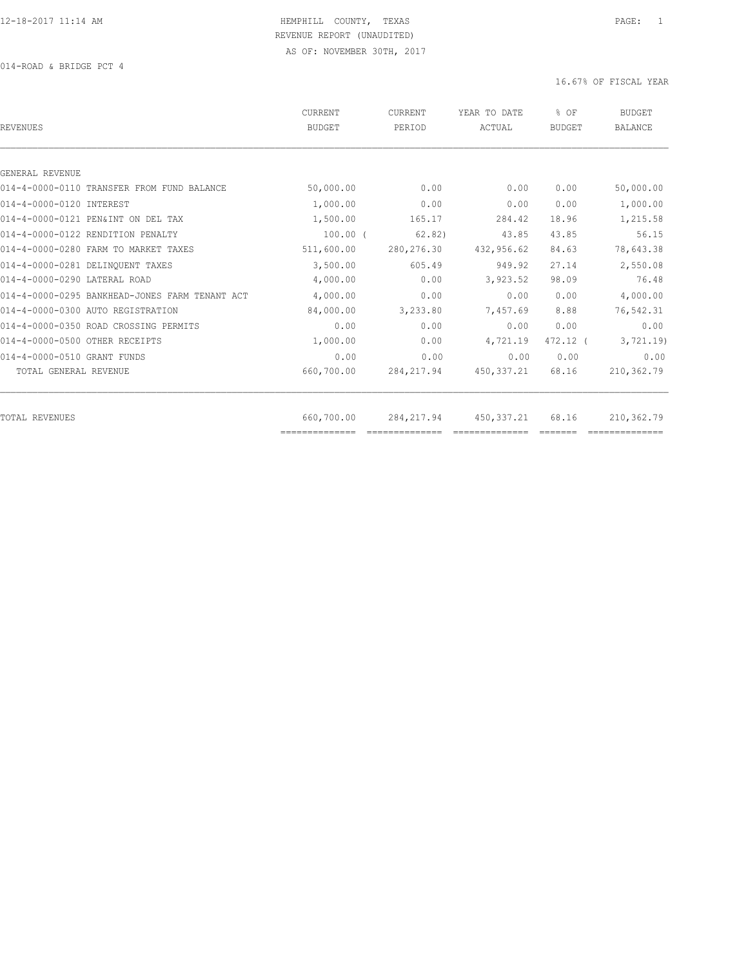014-ROAD & BRIDGE PCT 4

| <b>BUDGET</b> | PERIOD         | YEAR TO DATE<br>ACTUAL | % OF<br><b>BUDGET</b> | <b>BUDGET</b><br><b>BALANCE</b> |
|---------------|----------------|------------------------|-----------------------|---------------------------------|
|               |                |                        |                       |                                 |
|               |                |                        |                       |                                 |
| 50,000.00     | 0.00           | 0.00                   | 0.00                  | 50,000.00                       |
| 1,000.00      | 0.00           | 0.00                   | 0.00                  | 1,000.00                        |
| 1,500.00      | 165.17         | 284.42                 | 18.96                 | 1,215.58                        |
| $100.00$ (    | 62.82)         | 43.85                  | 43.85                 | 56.15                           |
| 511,600.00    | 280, 276.30    | 432,956.62             | 84.63                 | 78,643.38                       |
| 3,500.00      | 605.49         | 949.92                 | 27.14                 | 2,550.08                        |
| 4,000.00      | 0.00           | 3,923.52               | 98.09                 | 76.48                           |
| 4,000.00      | 0.00           | 0.00                   | 0.00                  | 4,000.00                        |
| 84,000.00     | 3,233.80       | 7,457.69               | 8.88                  | 76,542.31                       |
| 0.00          | 0.00           | 0.00                   | 0.00                  | 0.00                            |
| 1,000.00      | 0.00           | 4,721.19               | 472.12 (              | 3,721.19                        |
| 0.00          | 0.00           | 0.00                   | 0.00                  | 0.00                            |
| 660,700.00    | 284, 217.94    | 450, 337.21            | 68.16                 | 210,362.79                      |
| 660,700.00    | 284, 217.94    | 450,337.21             | 68.16                 | 210,362.79                      |
|               | ============== |                        |                       |                                 |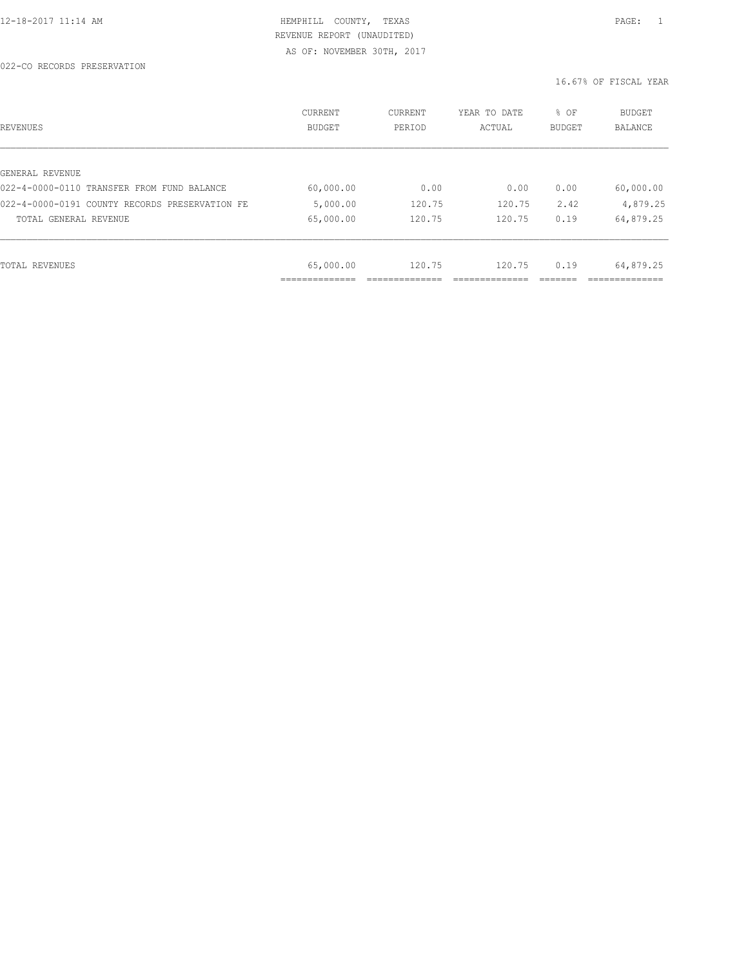| REVENUES                                       | CURRENT<br><b>BUDGET</b> | CURRENT<br>PERIOD | YEAR TO DATE<br>ACTUAL | % OF<br>BUDGET | BUDGET<br><b>BALANCE</b> |
|------------------------------------------------|--------------------------|-------------------|------------------------|----------------|--------------------------|
|                                                |                          |                   |                        |                |                          |
| GENERAL REVENUE                                |                          |                   |                        |                |                          |
| 022-4-0000-0110 TRANSFER FROM FUND BALANCE     | 60,000.00                | 0.00              | 0.00                   | 0.00           | 60,000.00                |
| 022-4-0000-0191 COUNTY RECORDS PRESERVATION FE | 5,000.00                 | 120.75            | 120.75                 | 2.42           | 4,879.25                 |
| TOTAL GENERAL REVENUE                          | 65,000.00                | 120.75            | 120.75                 | 0.19           | 64,879.25                |
|                                                |                          |                   |                        |                |                          |
| TOTAL REVENUES                                 | 65,000.00                | 120.75            | 120.75                 | 0.19           | 64,879.25                |
|                                                | -----------              |                   |                        |                |                          |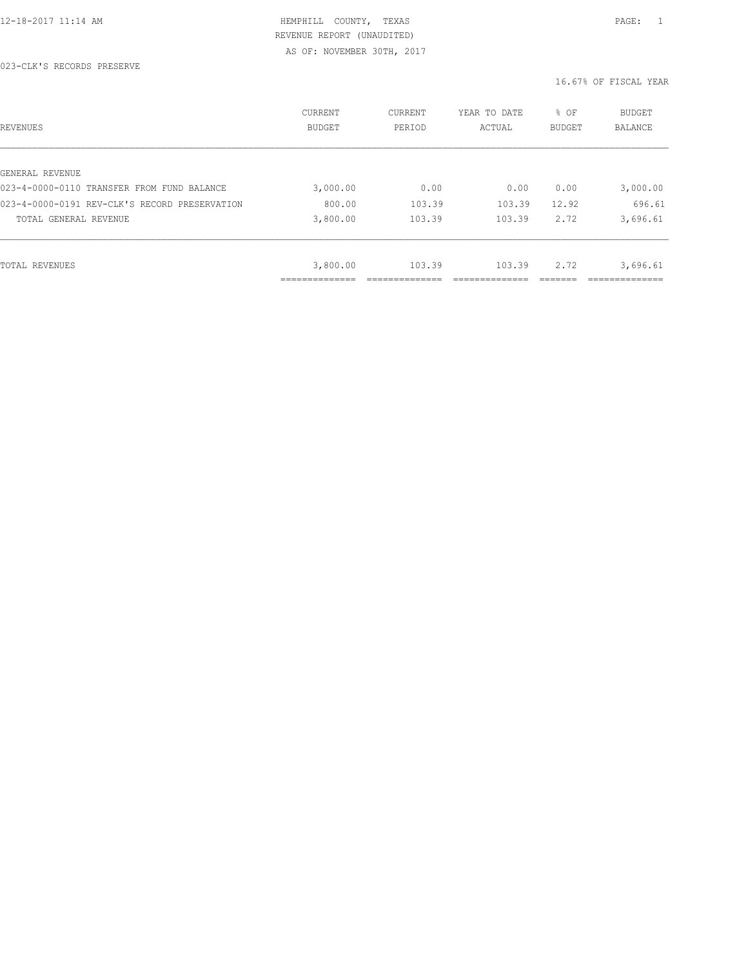| REVENUES                                      | CURRENT<br><b>BUDGET</b> | CURRENT<br>PERIOD | YEAR TO DATE<br>ACTUAL | % OF<br>BUDGET | BUDGET<br>BALANCE |
|-----------------------------------------------|--------------------------|-------------------|------------------------|----------------|-------------------|
|                                               |                          |                   |                        |                |                   |
| GENERAL REVENUE                               |                          |                   |                        |                |                   |
| 023-4-0000-0110 TRANSFER FROM FUND BALANCE    | 3,000.00                 | 0.00              | 0.00                   | 0.00           | 3,000.00          |
| 023-4-0000-0191 REV-CLK'S RECORD PRESERVATION | 800.00                   | 103.39            | 103.39                 | 12.92          | 696.61            |
| TOTAL GENERAL REVENUE                         | 3,800.00                 | 103.39            | 103.39                 | 2.72           | 3,696.61          |
|                                               |                          |                   |                        |                |                   |
| TOTAL REVENUES                                | 3,800.00                 | 103.39            | 103.39                 | 2.72           | 3,696.61          |
|                                               | ----------               |                   |                        |                |                   |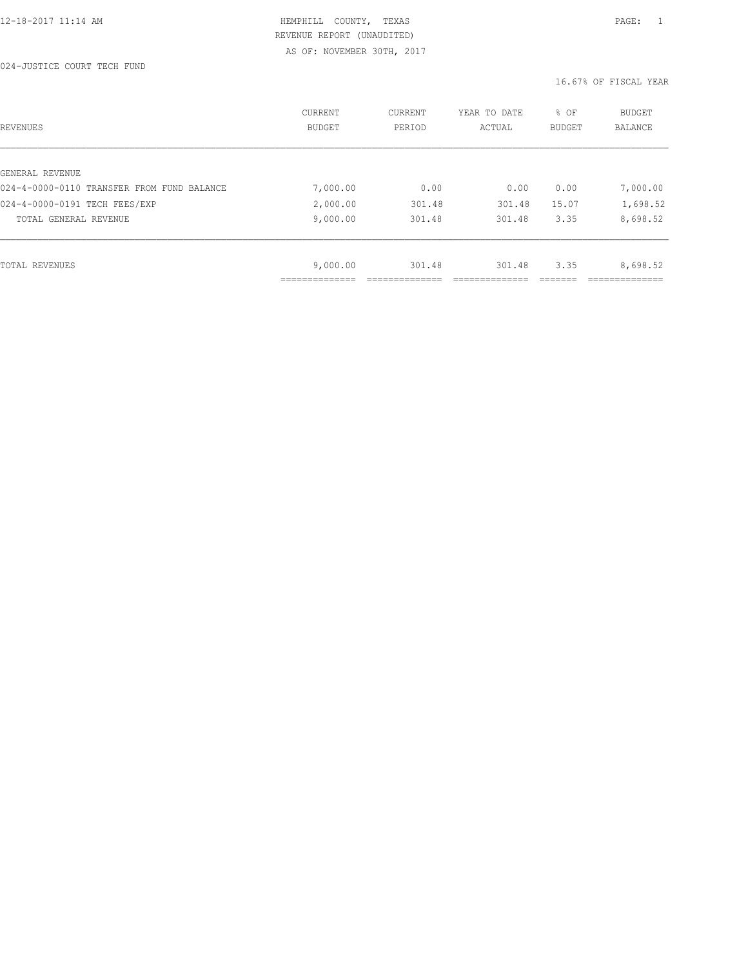024-JUSTICE COURT TECH FUND

| REVENUES                                   | CURRENT<br><b>BUDGET</b> | CURRENT<br>PERIOD | YEAR TO DATE<br>ACTUAL | % OF<br>BUDGET | BUDGET<br><b>BALANCE</b> |
|--------------------------------------------|--------------------------|-------------------|------------------------|----------------|--------------------------|
|                                            |                          |                   |                        |                |                          |
| GENERAL REVENUE                            |                          |                   |                        |                |                          |
| 024-4-0000-0110 TRANSFER FROM FUND BALANCE | 7,000.00                 | 0.00              | 0.00                   | 0.00           | 7,000.00                 |
| 024-4-0000-0191 TECH FEES/EXP              | 2,000.00                 | 301.48            | 301.48                 | 15.07          | 1,698.52                 |
| TOTAL GENERAL REVENUE                      | 9,000.00                 | 301.48            | 301.48                 | 3.35           | 8,698.52                 |
|                                            |                          |                   |                        |                |                          |
| TOTAL REVENUES                             | 9,000.00                 | 301.48            | 301.48                 | 3.35           | 8,698.52                 |
|                                            |                          |                   |                        |                |                          |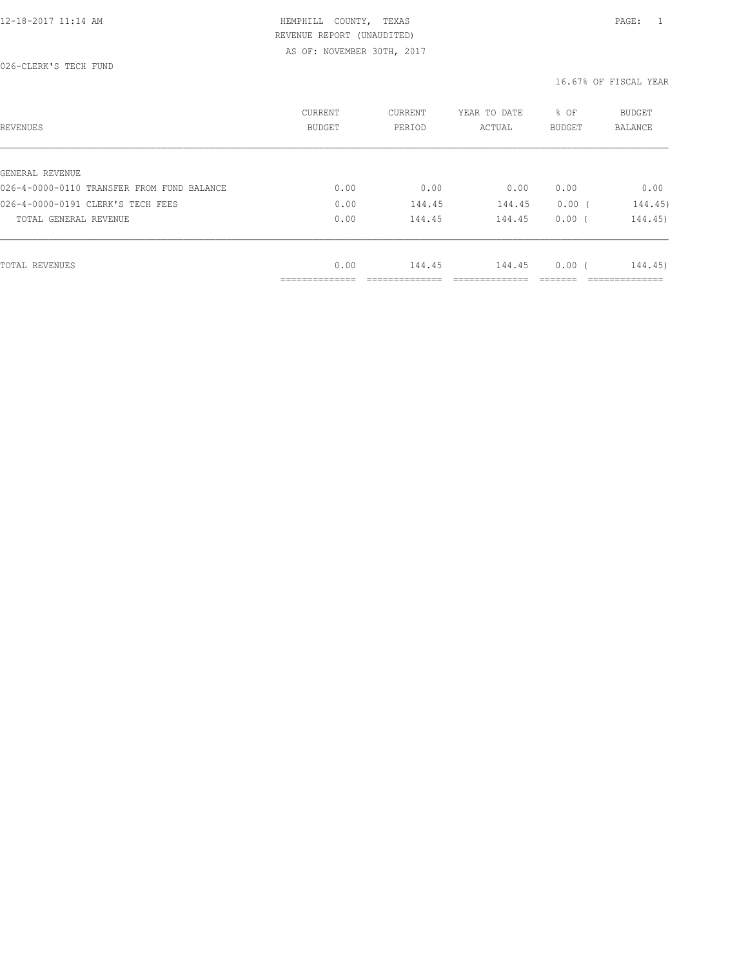026-CLERK'S TECH FUND

| REVENUES                                   | CURRENT<br>BUDGET             | CURRENT<br>PERIOD | YEAR TO DATE<br>ACTUAL | % OF<br><b>BUDGET</b> | <b>BUDGET</b><br>BALANCE      |
|--------------------------------------------|-------------------------------|-------------------|------------------------|-----------------------|-------------------------------|
|                                            |                               |                   |                        |                       |                               |
| GENERAL REVENUE                            |                               |                   |                        |                       |                               |
| 026-4-0000-0110 TRANSFER FROM FUND BALANCE | 0.00                          | 0.00              | 0.00                   | 0.00                  | 0.00                          |
| 026-4-0000-0191 CLERK'S TECH FEES          | 0.00                          | 144.45            | 144.45                 | $0.00$ (              | 144.45)                       |
| TOTAL GENERAL REVENUE                      | 0.00                          | 144.45            | 144.45                 | 0.00(                 | 144.45)                       |
|                                            |                               |                   |                        |                       |                               |
| TOTAL REVENUES                             | 0.00                          | 144.45            | 144.45                 | 0.00(                 | 144.45)                       |
|                                            | . _ _ _ _ _ _ _ _ _ _ _ _ _ _ |                   |                        |                       | . _ _ _ _ _ _ _ _ _ _ _ _ _ _ |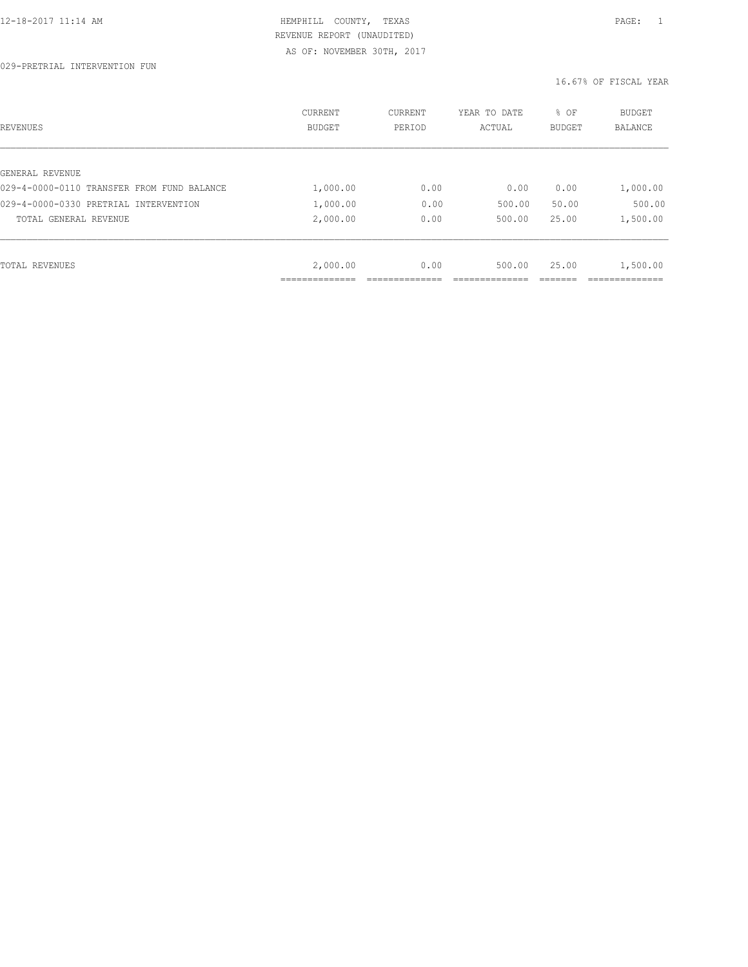| REVENUES                                   | CURRENT<br><b>BUDGET</b> | CURRENT<br>PERIOD | YEAR TO DATE<br>ACTUAL | % OF<br>BUDGET | BUDGET<br><b>BALANCE</b> |
|--------------------------------------------|--------------------------|-------------------|------------------------|----------------|--------------------------|
|                                            |                          |                   |                        |                |                          |
| GENERAL REVENUE                            |                          |                   |                        |                |                          |
| 029-4-0000-0110 TRANSFER FROM FUND BALANCE | 1,000.00                 | 0.00              | 0.00                   | 0.00           | 1,000.00                 |
| 029-4-0000-0330 PRETRIAL INTERVENTION      | 1,000.00                 | 0.00              | 500.00                 | 50.00          | 500.00                   |
| TOTAL GENERAL REVENUE                      | 2,000.00                 | 0.00              | 500.00                 | 25.00          | 1,500.00                 |
|                                            |                          |                   |                        |                |                          |
| TOTAL REVENUES                             | 2,000.00                 | 0.00              | 500.00                 | 25.00          | 1,500.00                 |
|                                            | _____________            |                   |                        |                |                          |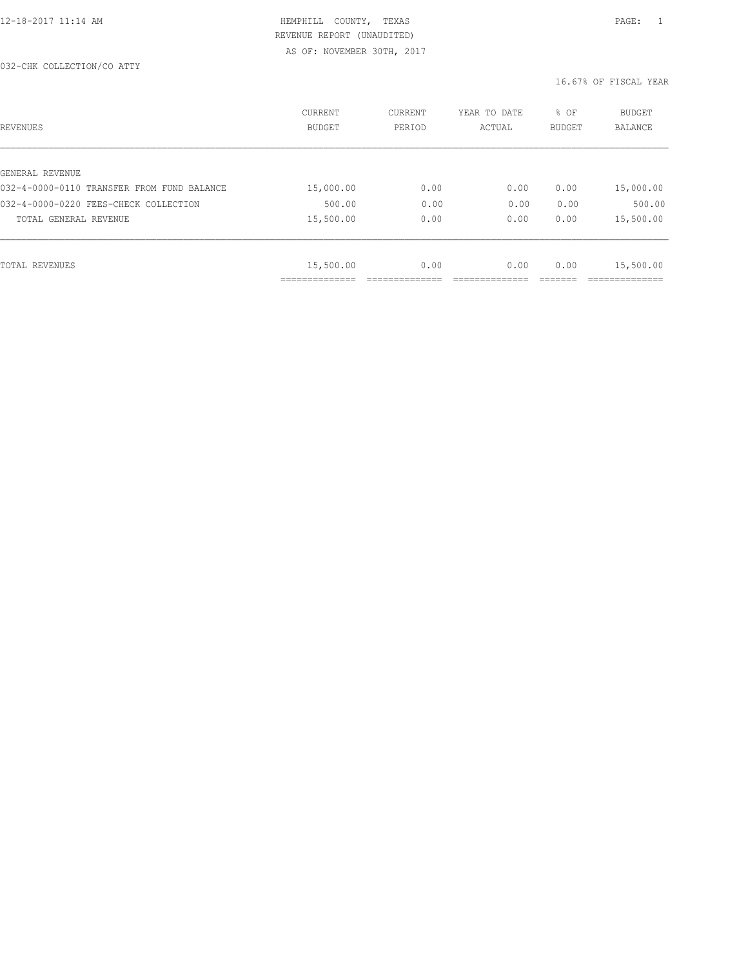| REVENUES                                   | <b>CURRENT</b><br><b>BUDGET</b> | CURRENT<br>PERIOD | YEAR TO DATE<br>ACTUAL | % OF<br><b>BUDGET</b> | <b>BUDGET</b><br><b>BALANCE</b> |
|--------------------------------------------|---------------------------------|-------------------|------------------------|-----------------------|---------------------------------|
|                                            |                                 |                   |                        |                       |                                 |
| GENERAL REVENUE                            |                                 |                   |                        |                       |                                 |
| 032-4-0000-0110 TRANSFER FROM FUND BALANCE | 15,000.00                       | 0.00              | 0.00                   | 0.00                  | 15,000.00                       |
| 032-4-0000-0220 FEES-CHECK COLLECTION      | 500.00                          | 0.00              | 0.00                   | 0.00                  | 500.00                          |
| TOTAL GENERAL REVENUE                      | 15,500.00                       | 0.00              | 0.00                   | 0.00                  | 15,500.00                       |
|                                            |                                 |                   |                        |                       |                                 |
| TOTAL REVENUES                             | 15,500.00                       | 0.00              | 0.00                   | 0.00                  | 15,500.00                       |
|                                            |                                 |                   |                        |                       |                                 |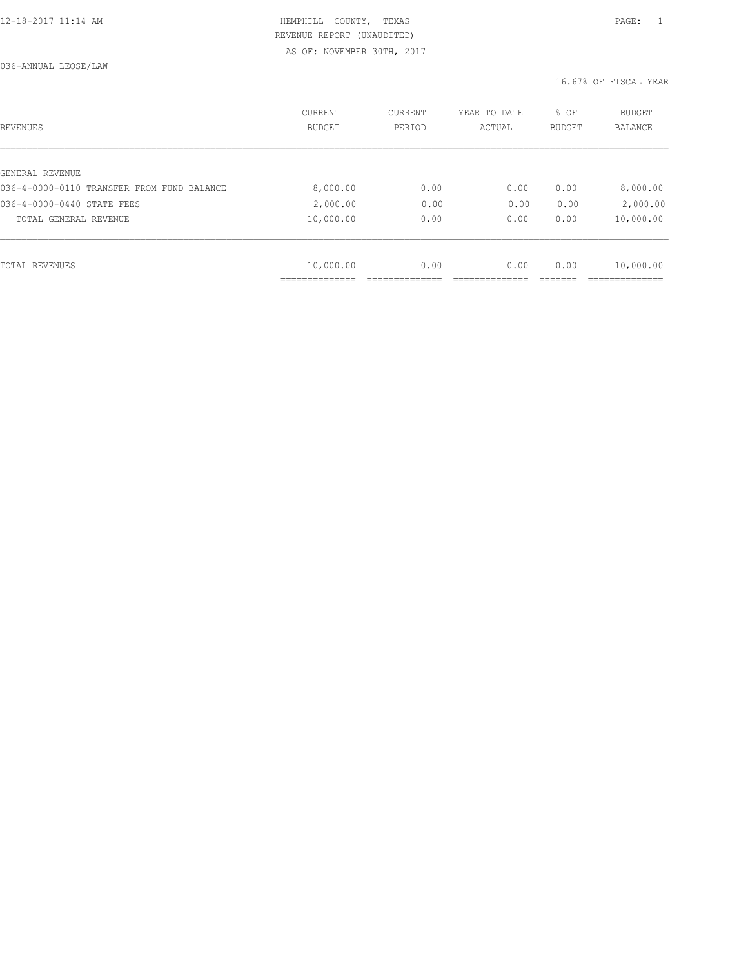| REVENUES                                   | CURRENT<br><b>BUDGET</b> | CURRENT<br>PERIOD | YEAR TO DATE<br>ACTUAL | % OF<br><b>BUDGET</b> | <b>BUDGET</b><br>BALANCE |
|--------------------------------------------|--------------------------|-------------------|------------------------|-----------------------|--------------------------|
|                                            |                          |                   |                        |                       |                          |
| GENERAL REVENUE                            |                          |                   |                        |                       |                          |
| 036-4-0000-0110 TRANSFER FROM FUND BALANCE | 8,000.00                 | 0.00              | 0.00                   | 0.00                  | 8,000.00                 |
| 036-4-0000-0440 STATE FEES                 | 2,000.00                 | 0.00              | 0.00                   | 0.00                  | 2,000.00                 |
| TOTAL GENERAL REVENUE                      | 10,000.00                | 0.00              | 0.00                   | 0.00                  | 10,000.00                |
|                                            |                          |                   |                        |                       |                          |
| TOTAL REVENUES                             | 10,000.00                | 0.00              | 0.00                   | 0.00                  | 10,000.00                |
|                                            |                          |                   |                        |                       |                          |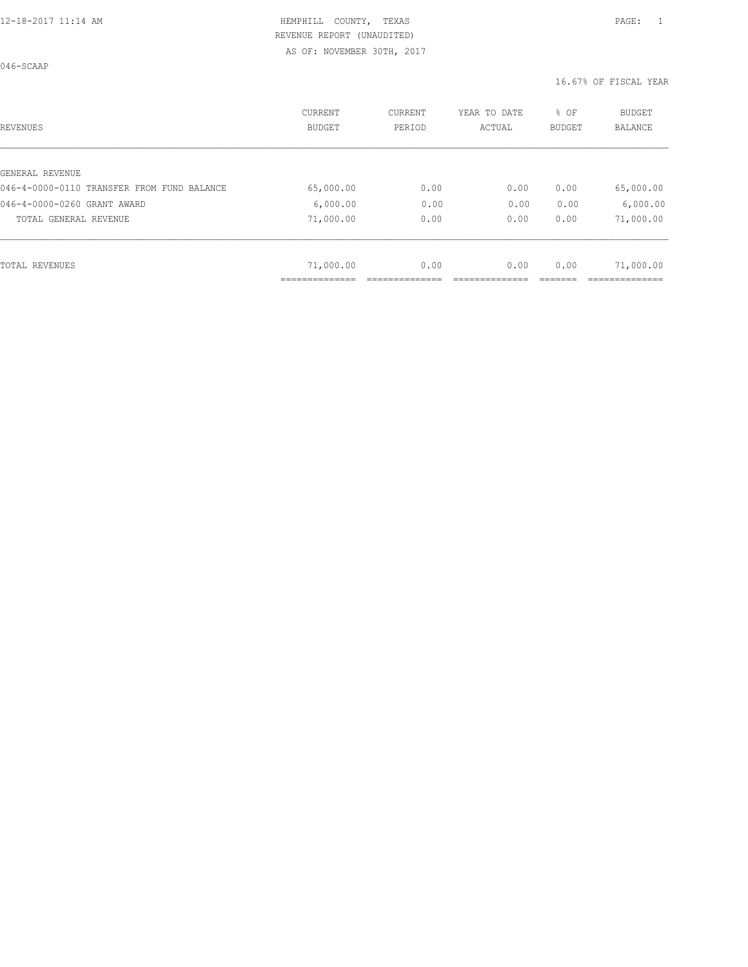046-SCAAP

| <b>REVENUES</b>                            | <b>CURRENT</b><br><b>BUDGET</b> | CURRENT<br>PERIOD | YEAR TO DATE<br>ACTUAL | % OF<br><b>BUDGET</b> | <b>BUDGET</b><br><b>BALANCE</b> |
|--------------------------------------------|---------------------------------|-------------------|------------------------|-----------------------|---------------------------------|
| GENERAL REVENUE                            |                                 |                   |                        |                       |                                 |
| 046-4-0000-0110 TRANSFER FROM FUND BALANCE | 65,000.00                       | 0.00              | 0.00                   | 0.00                  | 65,000.00                       |
| 046-4-0000-0260 GRANT AWARD                |                                 |                   | 0.00                   |                       |                                 |
|                                            | 6,000.00                        | 0.00              |                        | 0.00                  | 6,000.00                        |
| TOTAL GENERAL REVENUE                      | 71,000.00                       | 0.00              | 0.00                   | 0.00                  | 71,000.00                       |
|                                            |                                 |                   |                        |                       |                                 |
| <b>TOTAL REVENUES</b>                      | 71,000.00                       | 0.00              | 0.00                   | 0.00                  | 71,000.00                       |
|                                            |                                 |                   |                        |                       |                                 |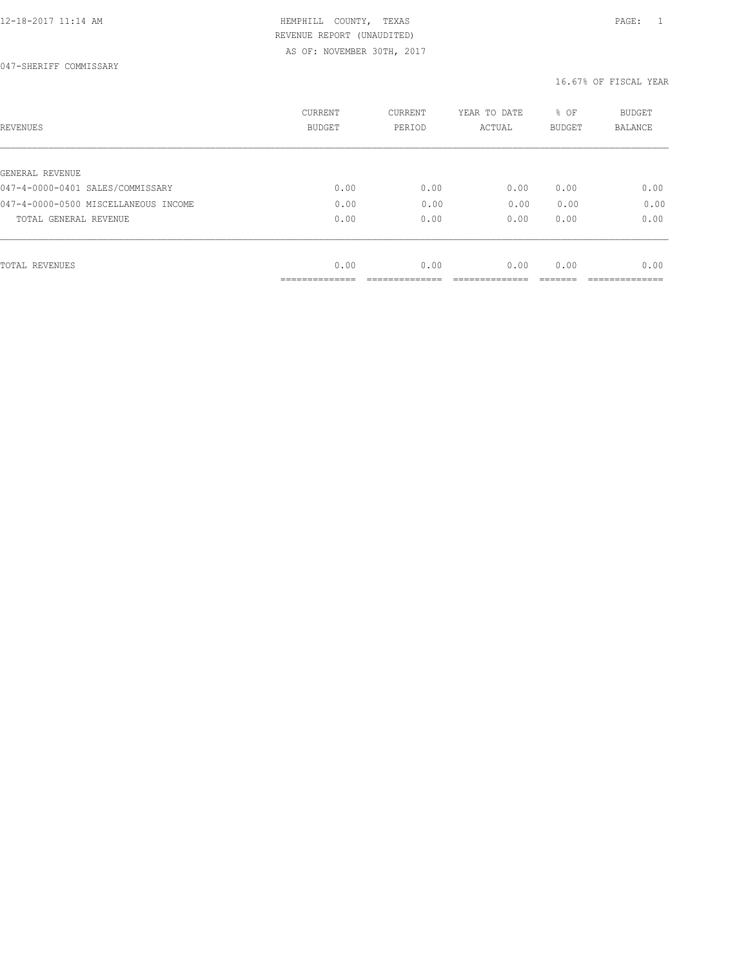| REVENUES                             | <b>CURRENT</b><br><b>BUDGET</b> | CURRENT<br>PERIOD | YEAR TO DATE<br>ACTUAL | % OF<br>BUDGET | BUDGET<br><b>BALANCE</b> |
|--------------------------------------|---------------------------------|-------------------|------------------------|----------------|--------------------------|
|                                      |                                 |                   |                        |                |                          |
| GENERAL REVENUE                      |                                 |                   |                        |                |                          |
| 047-4-0000-0401 SALES/COMMISSARY     | 0.00                            | 0.00              | 0.00                   | 0.00           | 0.00                     |
| 047-4-0000-0500 MISCELLANEOUS INCOME | 0.00                            | 0.00              | 0.00                   | 0.00           | 0.00                     |
| TOTAL GENERAL REVENUE                | 0.00                            | 0.00              | 0.00                   | 0.00           | 0.00                     |
|                                      |                                 |                   |                        |                |                          |
| TOTAL REVENUES                       | 0.00                            | 0.00              | 0.00                   | 0.00           | 0.00                     |
|                                      |                                 |                   |                        |                |                          |